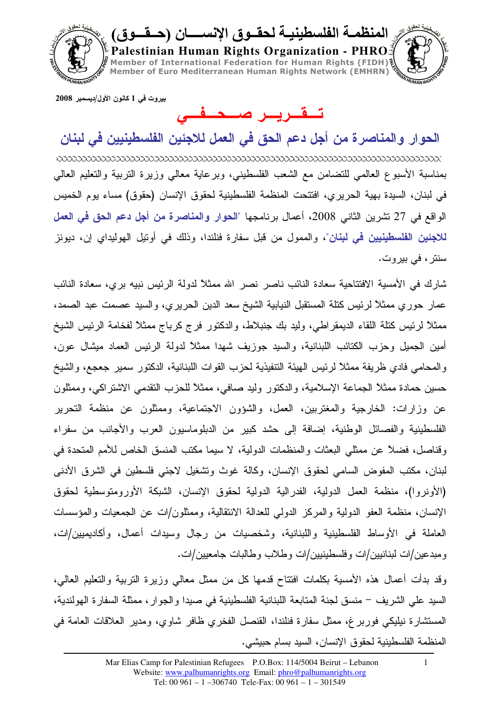

بيروت ف*ي* 1 كانون الأول/ديسمبر 2008

## تقرير صنعتقني

الحوار والمناصر ة من أجل دعم الحق في الع*مل ل*لاجئين الفلسطينيين في لبنان بمناسبة الأسبوع العالمي للنضامن مع الشعب الفلسطيني، وبرعاية معالي وزيرة التربية والتعليم العالي في لبنان، السيدة بهية الحريري، افتتحت المنظمة الفلسطينية لحقوق الإنسان (حقوق) مساء يوم الخميس الواقع في 27 نشرين الثاني 2008، أعمال برنامجها "الحوار والمناصرة من أ**جل دع**م الحق في العمل للاجئين الفلسطينيين في لبنان"، والممول من قبل سفارة فنلندا، وذلك في أوتيل الهوليداي إن، ديونز سنتر ، في بيروت.

شارك في الأمسية الافتتاحية سعادة النائب ناصر نصر الله ممثلاً لدولة الرئيس نبيه بري، سعادة النائب عمار حوري ممثلاً لرئيس كنلة المستقبل النيابية الشيخ سعد الدين الحريري، والسيد عصمت عبد الصمد، ممثلاً لرئيس كنلة اللقاء الديمقراطي، وليد بك جنبلاط، والدكتور فرج كرباج ممثلاً لفخامة الرئيس الشيخ أمين الجميل وحزب الكتائب اللبنانية، والسيد جوزيف شهدا ممثلاً لدولة الرئيس العماد ميشال عون، والمحامي فادي ظريفة ممثلاً لرئيس الـهيئة النتفيذية لـحزب القوات اللبنانية، الدكتور سمير جعجع، والشيخ حسين حمادة ممثلاً الجماعة الإسلامية، والدكتور وليد صـافـي، ممثلاً للحزب النقدمـي الاشتراكـي، وممثلون عن وزارات: الخارجية والمغتربين، العمل، والشؤون الاجتماعية، وممثلون عن منظمة التحرير الفلسطينية والفصائل الوطنية، إضافة إلى حشد كبير من الدبلوماسيون العرب والأجانب من سفراء وقناصل، فضلاً عن ممثلي البعثات والمنظمات الدولية، لا سيما مكتب المنسق الخاص للأمم المتحدة في لبنان، مكتب المفوض السامي لحقوق الإنسان، وكالة غوث وتشغيل لاجئي فلسطين في الشرق الأدنى (الأونروا)، منظمة العمل الدولية، الفدرالية الدولية لحقوق الإنسان، الشبكة الأورومتوسطية لحقوق الإنسان، منظمة العفو الدولية والمركز الدولمي للعدالة الانتقالية، وممثلون/ات عن الجمعيات والمؤسسات العاملة في الأوساط الفلسطينية واللبنانية، وشخصيات من رجال وسيدات أعمال، وأكاديميين/ات، ومبدعين/ات لبنانبين/ات وفلسطينبين/ات وطلاب وطالبات جامعيين/ات.

.<br>وقد بدأت أعمال هذه الأمسية بكلمات افتتاح قدمها كل من ممثل معالي وزيرة التربية والتعليم العالي، السيد علي الشريف – منسق لجنة المتابعة اللبنانية الفلسطينية في صيدا والجوار ، ممثلة السفارة الهولندية، المستشارة نيليكي فوربر غ، ممثل سفارة فنلندا، القنصل الفخري ظافر شاوي، ومدير العلاقات العامة في المنظمة الفلسطينية لحقوق الإنسان، السيد بسام حبيشي.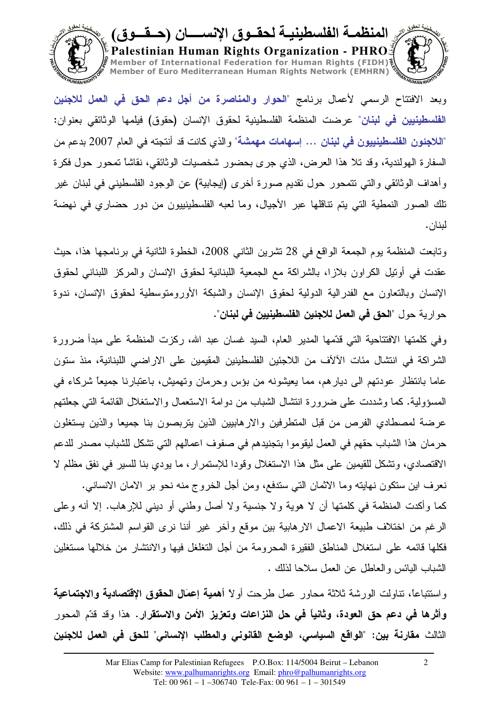

وبعد الافتتاح الرسمي لأعمال برنامج "الحوار والمناصرة من أجل دعم الحق في العمل للاجئين ا**لْفَلْسطَينيين في لبنـان**" عرضت المنظمة الفلسطينية لـحقوق الإنسان (حقوق) فيلمها الوثائقي بعنوان: "اللاجئون الفلسطينييون في لبنان ... إسهامات مهمشة" و الذي كانت قد أنتجته في العام 2007 بدعم من السفارة الـهولندية، وقد تلا هذا الـعرض، الذي جرى بـحضور شخصيات الوثائقي، نقاشًا تمحور حول فكرة وأهداف الوثائقي والتي نتمحور حول نقديم صورة أخرى (إيجابية) عن الوجود الفلسطيني في لبنان غير نلك الصور النمطية التي يتم نتاقلها عبر الأجيال، وما لعبه الفلسطينييون من دور حضاري في نهضة لينان.

وتابعت المنظمة يوم الجمعة الواقع في 28 نشرين الثاني 2008، الخطوة الثانية في برنامجها هذا، حيث عقدت في أونيل الكراون بلازا، بالشراكة مع الجمعية اللبنانية لحقوق الإنسان والمركز اللبناني لحقوق الإنسان وبالتعاون مع الفدرالية الدولية لحقوق الإنسان والشبكة الأورومتوسطية لحقوق الإنسان، ندوة حو ارية حول "ا**لحق في العمل للاجئين الفلسطينيين في لبنان**".

وفي كلمتها الافتتاحية التي قدَّمها المدير العام، السيد غسان عبد الله، ركزت المنظمة على مبدأ ضرورة الشراكة في انتشال مئات الآلآف من اللاجئين الفلسطينين المقيمين على الاراضـي اللبنانية، منذ ستون عاما بانتظار عودتهم الى ديارهم، مما يعيشونه من بؤس وحرمان وتهميش، باعتبارنا جميعًا شركاء في المسؤولية. كما وشددت على ضرورة انتشال الشباب من دوامة الاستعمال والاستغلال القائمة التي جعلتهم عرضة لمصطادي الفرص من قبل المنطرفين والارهاببين الذين يتربصون بنا جميعا والذين يستغلون حرمان هذا الشباب حقهم في العمل ليقوموا بتجنيدهم في صفوف اعمالهم التي تشكل للشباب مصدر للدعم الاقتصادي، وتشكل للقيمين على مثل هذا الاستغلال وقودا للإستمرار، ما يودي بنا للسير في نفق مظلم لا نعرف اين ستكون نهايته وما الاثمان التي ستدفع، ومن أجل الخروج منه نحو بر الامان الانساني.

كما وأكدت المنظمة في كلمتها أن لا هوية ولا جنسية ولا أصل وطني أو ديني للإرهاب. إلا أنه وعلى الرغم من اختلاف طبيعة الاعمال الارهابية بين موقع وأخر غير أننا نرى القواسم المشتركة في ذلك، فكلها قائمه على استغلال المناطق الفقير ة المحر ومة من أجل التغلغل فيها والانتشار ً من خلالها مستغلبن الشباب البائس والعاطل عن العمل سلاحا لذلك .

واستتباعًا، تناولت الورشة ثلاثة محاور عمل طرحت أولاً أه**مية إعمَال الحقوق الإقتصادية والاجتماعية** وأثرها في دعم حق العودة، وثانياً في حل النزاعات وتعزيز الأمن والاستقرار. هذا وقد قدّم المحور الثالث مقارنة بين: "الواقع السياسي، الوضع القانوني والمطلب الإنساني" للحق في العمل للاجئين